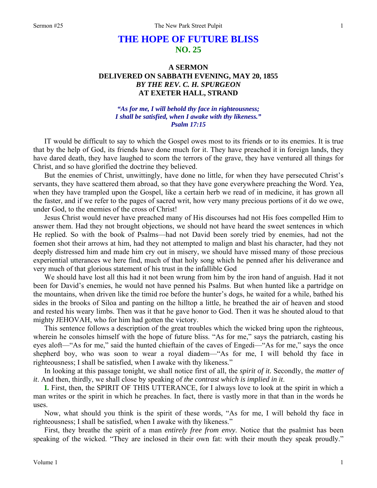# **THE HOPE OF FUTURE BLISS NO. 25**

## **A SERMON DELIVERED ON SABBATH EVENING, MAY 20, 1855**  *BY THE REV. C. H. SPURGEON*  **AT EXETER HALL, STRAND**

### *"As for me, I will behold thy face in righteousness; I shall be satisfied, when I awake with thy likeness." Psalm 17:15*

IT would be difficult to say to which the Gospel owes most to its friends or to its enemies. It is true that by the help of God, its friends have done much for it. They have preached it in foreign lands, they have dared death, they have laughed to scorn the terrors of the grave, they have ventured all things for Christ, and so have glorified the doctrine they believed.

But the enemies of Christ, unwittingly, have done no little, for when they have persecuted Christ's servants, they have scattered them abroad, so that they have gone everywhere preaching the Word. Yea, when they have trampled upon the Gospel, like a certain herb we read of in medicine, it has grown all the faster, and if we refer to the pages of sacred writ, how very many precious portions of it do we owe, under God, to the enemies of the cross of Christ!

Jesus Christ would never have preached many of His discourses had not His foes compelled Him to answer them. Had they not brought objections, we should not have heard the sweet sentences in which He replied. So with the book of Psalms—had not David been sorely tried by enemies, had not the foemen shot their arrows at him, had they not attempted to malign and blast his character, had they not deeply distressed him and made him cry out in misery, we should have missed many of those precious experiential utterances we here find, much of that holy song which he penned after his deliverance and very much of that glorious statement of his trust in the infallible God

We should have lost all this had it not been wrung from him by the iron hand of anguish. Had it not been for David's enemies, he would not have penned his Psalms. But when hunted like a partridge on the mountains, when driven like the timid roe before the hunter's dogs, he waited for a while, bathed his sides in the brooks of Siloa and panting on the hilltop a little, he breathed the air of heaven and stood and rested his weary limbs. Then was it that he gave honor to God. Then it was he shouted aloud to that mighty JEHOVAH, who for him had gotten the victory.

This sentence follows a description of the great troubles which the wicked bring upon the righteous, wherein he consoles himself with the hope of future bliss. "As for me," says the patriarch, casting his eyes aloft—"As for me," said the hunted chieftain of the caves of Engedi—"As for me," says the once shepherd boy, who was soon to wear a royal diadem—"As for me, I will behold thy face in righteousness; I shall be satisfied, when I awake with thy likeness."

In looking at this passage tonight, we shall notice first of all, the *spirit of it.* Secondly, the *matter of it*. And then, thirdly, we shall close by speaking of *the contrast which is implied in it*.

**I.** First, then, the SPIRIT OF THIS UTTERANCE, for I always love to look at the spirit in which a man writes or the spirit in which he preaches. In fact, there is vastly more in that than in the words he uses.

Now, what should you think is the spirit of these words, "As for me, I will behold thy face in righteousness; I shall be satisfied, when I awake with thy likeness."

First, they breathe the spirit of a man *entirely free from envy*. Notice that the psalmist has been speaking of the wicked. "They are inclosed in their own fat: with their mouth they speak proudly."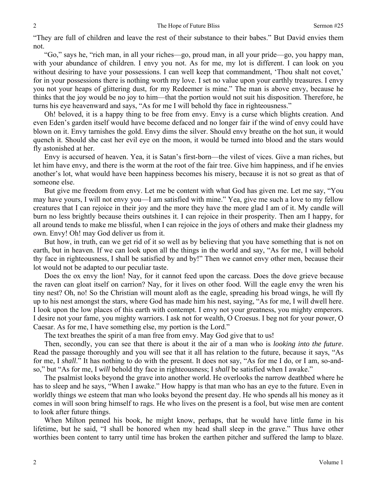"They are full of children and leave the rest of their substance to their babes." But David envies them not.

"Go," says he, "rich man, in all your riches—go, proud man, in all your pride—go, you happy man, with your abundance of children. I envy you not. As for me, my lot is different. I can look on you without desiring to have your possessions. I can well keep that commandment, 'Thou shalt not covet,' for in your possessions there is nothing worth my love. I set no value upon your earthly treasures. I envy you not your heaps of glittering dust, for my Redeemer is mine." The man is above envy, because he thinks that the joy would be no joy to him—that the portion would not suit his disposition. Therefore, he turns his eye heavenward and says, "As for me I will behold thy face in righteousness."

Oh! beloved, it is a happy thing to be free from envy. Envy is a curse which blights creation. And even Eden's garden itself would have become defaced and no longer fair if the wind of envy could have blown on it. Envy tarnishes the gold. Envy dims the silver. Should envy breathe on the hot sun, it would quench it. Should she cast her evil eye on the moon, it would be turned into blood and the stars would fly astonished at her.

Envy is accursed of heaven. Yea, it is Satan's first-born—the vilest of vices. Give a man riches, but let him have envy, and there is the worm at the root of the fair tree. Give him happiness, and if he envies another's lot, what would have been happiness becomes his misery, because it is not so great as that of someone else.

But give me freedom from envy. Let me be content with what God has given me. Let me say, "You may have yours, I will not envy you—I am satisfied with mine." Yea, give me such a love to my fellow creatures that I can rejoice in their joy and the more they have the more glad I am of it. My candle will burn no less brightly because theirs outshines it. I can rejoice in their prosperity. Then am I happy, for all around tends to make me blissful, when I can rejoice in the joys of others and make their gladness my own. Envy! Oh! may God deliver us from it.

But how, in truth, can we get rid of it so well as by believing that you have something that is not on earth, but in heaven. If we can look upon all the things in the world and say, "As for me, I will behold thy face in righteousness, I shall be satisfied by and by!" Then we cannot envy other men, because their lot would not be adapted to our peculiar taste.

Does the ox envy the lion! Nay, for it cannot feed upon the carcass. Does the dove grieve because the raven can gloat itself on carrion? Nay, for it lives on other food. Will the eagle envy the wren his tiny nest? Oh, no! So the Christian will mount aloft as the eagle, spreading his broad wings, he will fly up to his nest amongst the stars, where God has made him his nest, saying, "As for me, I will dwell here. I look upon the low places of this earth with contempt. I envy not your greatness, you mighty emperors. I desire not your fame, you mighty warriors. I ask not for wealth, O Croesus. I beg not for your power, O Caesar. As for me, I have something else, my portion is the Lord."

The text breathes the spirit of a man free from envy. May God give that to us!

Then, secondly, you can see that there is about it the air of a man who is *looking into the future*. Read the passage thoroughly and you will see that it all has relation to the future, because it says, "As for me, I *shall*." It has nothing to do with the present. It does not say, "As for me I do, or I am, so-andso," but "As for me, I *will* behold thy face in righteousness; I *shall* be satisfied when I awake."

The psalmist looks beyond the grave into another world. He overlooks the narrow deathbed where he has to sleep and he says, "When I awake." How happy is that man who has an eye to the future. Even in worldly things we esteem that man who looks beyond the present day. He who spends all his money as it comes in will soon bring himself to rags. He who lives on the present is a fool, but wise men are content to look after future things.

When Milton penned his book, he might know, perhaps, that he would have little fame in his lifetime, but he said, "I shall be honored when my head shall sleep in the grave." Thus have other worthies been content to tarry until time has broken the earthen pitcher and suffered the lamp to blaze.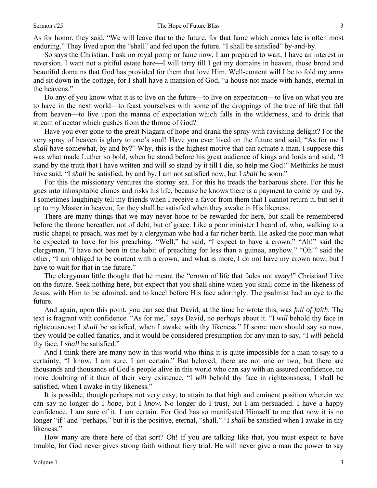As for honor, they said, "We will leave that to the future, for that fame which comes late is often most enduring." They lived upon the "shall" and fed upon the future. "I shall be satisfied" by-and-by.

So says the Christian. I ask no royal pomp or fame now. I am prepared to wait, I have an interest in reversion. I want not a pitiful estate here—I will tarry till I get my domains in heaven, those broad and beautiful domains that God has provided for them that love Him. Well-content will I be to fold my arms and sit down in the cottage, for I shall have a mansion of God, "a house not made with hands, eternal in the heavens."

Do any of you know what it is to live on the future—to live on expectation—to live on what you are to have in the next world—to feast yourselves with some of the droppings of the tree of life that fall from heaven—to live upon the manna of expectation which falls in the wilderness, and to drink that stream of nectar which gushes from the throne of God?

Have you ever gone to the great Niagara of hope and drank the spray with ravishing delight? For the very spray of heaven is glory to one's soul! Have you ever lived on the future and said, "As for me I *shall* have somewhat, by and by?" Why, this is the highest motive that can actuate a man. I suppose this was what made Luther so bold, when he stood before his great audience of kings and lords and said, "I stand by the truth that I have written and will so stand by it till I die, so help me God!" Methinks he must have said, "I *shall* be satisfied, by and by. I am not satisfied now, but I *shall* be soon."

For this the missionary ventures the stormy sea. For this he treads the barbarous shore. For this he goes into inhospitable climes and risks his life, because he knows there is a payment to come by and by. I sometimes laughingly tell my friends when I receive a favor from them that I cannot return it, but set it up to my Master in heaven, for they shall be satisfied when they awake in His likeness.

There are many things that we may never hope to be rewarded for here, but shall be remembered before the throne hereafter, not of debt, but of grace. Like a poor minister I heard of, who, walking to a rustic chapel to preach, was met by a clergyman who had a far richer berth. He asked the poor man what he expected to have for his preaching. "Well," he said, "I expect to have a crown." "Ah!" said the clergyman, "I have not been in the habit of preaching for less than a guinea, anyhow." "Oh!" said the other, "I am obliged to be content with a crown, and what is more, I do not have my crown now, but I have to wait for that in the future."

The clergyman little thought that he meant the "crown of life that fades not away!" Christian! Live on the future. Seek nothing here, but expect that you shall shine when you shall come in the likeness of Jesus, with Him to be admired, and to kneel before His face adoringly. The psalmist had an eye to the future.

And again, upon this point, you can see that David, at the time he wrote this, was *full of faith*. The text is fragrant with confidence. "As for me," says David, no *perhaps* about it. "I *will* behold thy face in righteousness; I *shall* be satisfied, when I awake with thy likeness." If some men should say so now, they would be called fanatics, and it would be considered presumption for any man to say, "I *will* behold thy face, I *shall* be satisfied."

And I think there are many now in this world who think it is quite impossible for a man to say to a certainty, "I know, I am sure, I am certain." But beloved, there are not one or two, but there are thousands and thousands of God's people alive in this world who can say with an assured confidence, no more doubting of it than of their very existence, "I *will* behold thy face in righteousness; I shall be satisfied, when I awake in thy likeness."

It is possible, though perhaps not very easy, to attain to that high and eminent position wherein we can say no longer do I *hope*, but I *know.* No longer do I trust, but I am persuaded. I have a happy confidence, I am sure of it. I am certain. For God has so manifested Himself to me that now it is no longer "if" and "perhaps," but it is the positive, eternal, "shall." "I *shall* be satisfied when I awake in thy likeness."

How many are there here of that sort? Oh! if you are talking like that, you must expect to have trouble, for God never gives strong faith without fiery trial. He will never give a man the power to say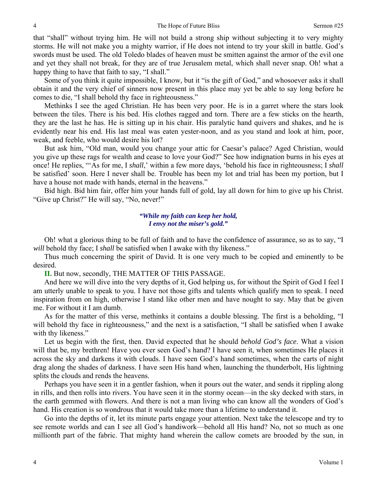that "shall" without trying him. He will not build a strong ship without subjecting it to very mighty storms. He will not make you a mighty warrior, if He does not intend to try your skill in battle. God's swords must be used. The old Toledo blades of heaven must be smitten against the armor of the evil one and yet they shall not break, for they are of true Jerusalem metal, which shall never snap. Oh! what a happy thing to have that faith to say, "I shall."

Some of you think it quite impossible, I know, but it "is the gift of God," and whosoever asks it shall obtain it and the very chief of sinners now present in this place may yet be able to say long before he comes to die, "I shall behold thy face in righteousness."

Methinks I see the aged Christian. He has been very poor. He is in a garret where the stars look between the tiles. There is his bed. His clothes ragged and torn. There are a few sticks on the hearth, they are the last he has. He is sitting up in his chair. His paralytic hand quivers and shakes, and he is evidently near his end. His last meal was eaten yester-noon, and as you stand and look at him, poor, weak, and feeble, who would desire his lot?

But ask him, "Old man, would you change your attic for Caesar's palace? Aged Christian, would you give up these rags for wealth and cease to love your God?" See how indignation burns in his eyes at once! He replies, "'As for me, I *shall*,' within a few more days, 'behold his face in righteousness; I *shall*  be satisfied' soon. Here I never shall be. Trouble has been my lot and trial has been my portion, but I have a house not made with hands, eternal in the heavens."

Bid high. Bid him fair, offer him your hands full of gold, lay all down for him to give up his Christ. "Give up Christ?" He will say, "No, never!"

### *"While my faith can keep her hold, I envy not the miser's gold."*

Oh! what a glorious thing to be full of faith and to have the confidence of assurance, so as to say, "I *will* behold thy face; I *shall* be satisfied when I awake with thy likeness."

Thus much concerning the spirit of David. It is one very much to be copied and eminently to be desired.

**II.** But now, secondly, THE MATTER OF THIS PASSAGE.

And here we will dive into the very depths of it, God helping us, for without the Spirit of God I feel I am utterly unable to speak to you. I have not those gifts and talents which qualify men to speak. I need inspiration from on high, otherwise I stand like other men and have nought to say. May that be given me. For without it I am dumb.

As for the matter of this verse, methinks it contains a double blessing. The first is a beholding, "I will behold thy face in righteousness," and the next is a satisfaction, "I shall be satisfied when I awake with thy likeness."

Let us begin with the first, then. David expected that he should *behold God's face*. What a vision will that be, my brethren! Have you ever seen God's hand? I have seen it, when sometimes He places it across the sky and darkens it with clouds. I have seen God's hand sometimes, when the carts of night drag along the shades of darkness. I have seen His hand when, launching the thunderbolt, His lightning splits the clouds and rends the heavens.

Perhaps you have seen it in a gentler fashion, when it pours out the water, and sends it rippling along in rills, and then rolls into rivers. You have seen it in the stormy ocean—in the sky decked with stars, in the earth gemmed with flowers. And there is not a man living who can know all the wonders of God's hand. His creation is so wondrous that it would take more than a lifetime to understand it.

Go into the depths of it, let its minute parts engage your attention. Next take the telescope and try to see remote worlds and can I see all God's handiwork—behold all His hand? No, not so much as one millionth part of the fabric. That mighty hand wherein the callow comets are brooded by the sun, in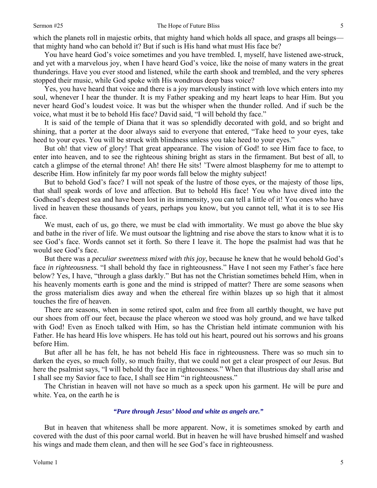which the planets roll in majestic orbits, that mighty hand which holds all space, and grasps all beings that mighty hand who can behold it? But if such is His hand what must His face be?

You have heard God's voice sometimes and you have trembled. I, myself, have listened awe-struck, and yet with a marvelous joy, when I have heard God's voice, like the noise of many waters in the great thunderings. Have you ever stood and listened, while the earth shook and trembled, and the very spheres stopped their music, while God spoke with His wondrous deep bass voice?

Yes, you have heard that voice and there is a joy marvelously instinct with love which enters into my soul, whenever I hear the thunder. It is my Father speaking and my heart leaps to hear Him. But you never heard God's loudest voice. It was but the whisper when the thunder rolled. And if such be the voice, what must it be to behold His face? David said, "I will behold thy face."

It is said of the temple of Diana that it was so splendidly decorated with gold, and so bright and shining, that a porter at the door always said to everyone that entered, "Take heed to your eyes, take heed to your eyes. You will be struck with blindness unless you take heed to your eyes."

But oh! that view of glory! That great appearance. The vision of God! to see Him face to face, to enter into heaven, and to see the righteous shining bright as stars in the firmament. But best of all, to catch a glimpse of the eternal throne! Ah! there He sits! 'Twere almost blasphemy for me to attempt to describe Him. How infinitely far my poor words fall below the mighty subject!

But to behold God's face? I will not speak of the lustre of those eyes, or the majesty of those lips, that shall speak words of love and affection. But to behold His face! You who have dived into the Godhead's deepest sea and have been lost in its immensity, you can tell a little of it! You ones who have lived in heaven these thousands of years, perhaps you know, but you cannot tell, what it is to see His face.

We must, each of us, go there, we must be clad with immortality. We must go above the blue sky and bathe in the river of life. We must outsoar the lightning and rise above the stars to know what it is to see God's face. Words cannot set it forth. So there I leave it. The hope the psalmist had was that he would see God's face.

But there was a *peculiar sweetness mixed with this joy*, because he knew that he would behold God's face *in righteousness.* "I shall behold thy face in righteousness." Have I not seen my Father's face here below? Yes, I have, "through a glass darkly." But has not the Christian sometimes beheld Him, when in his heavenly moments earth is gone and the mind is stripped of matter? There are some seasons when the gross materialism dies away and when the ethereal fire within blazes up so high that it almost touches the fire of heaven.

There are seasons, when in some retired spot, calm and free from all earthly thought, we have put our shoes from off our feet, because the place whereon we stood was holy ground, and we have talked with God! Even as Enoch talked with Him, so has the Christian held intimate communion with his Father. He has heard His love whispers. He has told out his heart, poured out his sorrows and his groans before Him.

But after all he has felt, he has not beheld His face in righteousness. There was so much sin to darken the eyes, so much folly, so much frailty, that we could not get a clear prospect of our Jesus. But here the psalmist says, "I will behold thy face in righteousness." When that illustrious day shall arise and I shall see my Savior face to face, I shall see Him "in righteousness."

The Christian in heaven will not have so much as a speck upon his garment. He will be pure and white. Yea, on the earth he is

### *"Pure through Jesus' blood and white as angels are."*

But in heaven that whiteness shall be more apparent. Now, it is sometimes smoked by earth and covered with the dust of this poor carnal world. But in heaven he will have brushed himself and washed his wings and made them clean, and then will he see God's face in righteousness.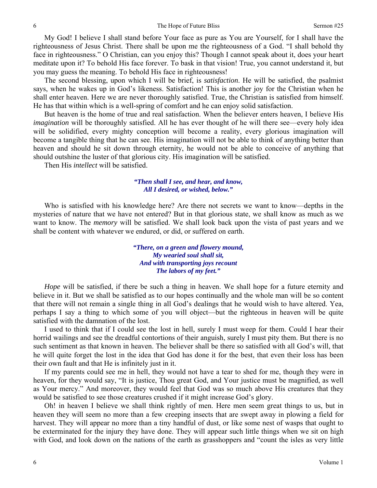My God! I believe I shall stand before Your face as pure as You are Yourself, for I shall have the righteousness of Jesus Christ. There shall be upon me the righteousness of a God. "I shall behold thy face in righteousness." O Christian, can you enjoy this? Though I cannot speak about it, does your heart meditate upon it? To behold His face forever. To bask in that vision! True, you cannot understand it, but you may guess the meaning. To behold His face in righteousness!

The second blessing, upon which I will be brief, is *satisfaction*. He will be satisfied, the psalmist says, when he wakes up in God's likeness. Satisfaction! This is another joy for the Christian when he shall enter heaven. Here we are never thoroughly satisfied. True, the Christian is satisfied from himself. He has that within which is a well-spring of comfort and he can enjoy solid satisfaction.

But heaven is the home of true and real satisfaction. When the believer enters heaven, I believe His *imagination* will be thoroughly satisfied. All he has ever thought of he will there see—every holy idea will be solidified, every mighty conception will become a reality, every glorious imagination will become a tangible thing that he can see. His imagination will not be able to think of anything better than heaven and should he sit down through eternity, he would not be able to conceive of anything that should outshine the luster of that glorious city. His imagination will be satisfied.

Then His *intellect* will be satisfied.

### *"Then shall I see, and hear, and know, All I desired, or wished, below."*

Who is satisfied with his knowledge here? Are there not secrets we want to know—depths in the mysteries of nature that we have not entered? But in that glorious state, we shall know as much as we want to know. The *memory* will be satisfied. We shall look back upon the vista of past years and we shall be content with whatever we endured, or did, or suffered on earth.

> *"There, on a green and flowery mound, My wearied soul shall sit, And with transporting joys recount The labors of my feet."*

*Hope* will be satisfied, if there be such a thing in heaven. We shall hope for a future eternity and believe in it. But we shall be satisfied as to our hopes continually and the whole man will be so content that there will not remain a single thing in all God's dealings that he would wish to have altered. Yea, perhaps I say a thing to which some of you will object—but the righteous in heaven will be quite satisfied with the damnation of the lost.

I used to think that if I could see the lost in hell, surely I must weep for them. Could I hear their horrid wailings and see the dreadful contortions of their anguish, surely I must pity them. But there is no such sentiment as that known in heaven. The believer shall be there so satisfied with all God's will, that he will quite forget the lost in the idea that God has done it for the best, that even their loss has been their own fault and that He is infinitely just in it.

If my parents could see me in hell, they would not have a tear to shed for me, though they were in heaven, for they would say, "It is justice, Thou great God, and Your justice must be magnified, as well as Your mercy." And moreover, they would feel that God was so much above His creatures that they would be satisfied to see those creatures crushed if it might increase God's glory.

Oh! in heaven I believe we shall think rightly of men. Here men seem great things to us, but in heaven they will seem no more than a few creeping insects that are swept away in plowing a field for harvest. They will appear no more than a tiny handful of dust, or like some nest of wasps that ought to be exterminated for the injury they have done. They will appear such little things when we sit on high with God, and look down on the nations of the earth as grasshoppers and "count the isles as very little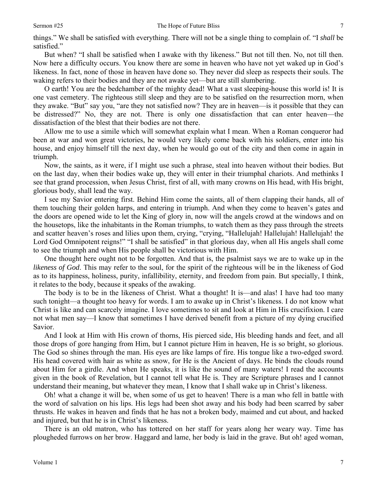But when? "I shall be satisfied when I awake with thy likeness." But not till then. No, not till then. Now here a difficulty occurs. You know there are some in heaven who have not yet waked up in God's likeness. In fact, none of those in heaven have done so. They never did sleep as respects their souls. The waking refers to their bodies and they are not awake yet—but are still slumbering.

O earth! You are the bedchamber of the mighty dead! What a vast sleeping-house this world is! It is one vast cemetery. The righteous still sleep and they are to be satisfied on the resurrection morn, when they awake. "But" say you, "are they not satisfied now? They are in heaven—is it possible that they can be distressed?" No, they are not. There is only one dissatisfaction that can enter heaven—the dissatisfaction of the blest that their bodies are not there.

Allow me to use a simile which will somewhat explain what I mean. When a Roman conqueror had been at war and won great victories, he would very likely come back with his soldiers, enter into his house, and enjoy himself till the next day, when he would go out of the city and then come in again in triumph.

Now, the saints, as it were, if I might use such a phrase, steal into heaven without their bodies. But on the last day, when their bodies wake up, they will enter in their triumphal chariots. And methinks I see that grand procession, when Jesus Christ, first of all, with many crowns on His head, with His bright, glorious body, shall lead the way.

I see my Savior entering first. Behind Him come the saints, all of them clapping their hands, all of them touching their golden harps, and entering in triumph. And when they come to heaven's gates and the doors are opened wide to let the King of glory in, now will the angels crowd at the windows and on the housetops, like the inhabitants in the Roman triumphs, to watch them as they pass through the streets and scatter heaven's roses and lilies upon them, crying, "crying, "Hallelujah! Hallelujah! Hallelujah! the Lord God Omnipotent reigns!" "I shall be satisfied" in that glorious day, when all His angels shall come to see the triumph and when His people shall be victorious with Him.

One thought here ought not to be forgotten. And that is, the psalmist says we are to wake up in the *likeness of God*. This may refer to the soul, for the spirit of the righteous will be in the likeness of God as to its happiness, holiness, purity, infallibility, eternity, and freedom from pain. But specially, I think, it relates to the body, because it speaks of the awaking.

The body is to be in the likeness of Christ. What a thought! It is—and alas! I have had too many such tonight—a thought too heavy for words. I am to awake up in Christ's likeness. I do not know what Christ is like and can scarcely imagine. I love sometimes to sit and look at Him in His crucifixion. I care not what men say—I know that sometimes I have derived benefit from a picture of my dying crucified Savior.

And I look at Him with His crown of thorns, His pierced side, His bleeding hands and feet, and all those drops of gore hanging from Him, but I cannot picture Him in heaven, He is so bright, so glorious. The God so shines through the man. His eyes are like lamps of fire. His tongue like a two-edged sword. His head covered with hair as white as snow, for He is the Ancient of days. He binds the clouds round about Him for a girdle. And when He speaks, it is like the sound of many waters! I read the accounts given in the book of Revelation, but I cannot tell what He is. They are Scripture phrases and I cannot understand their meaning, but whatever they mean, I know that I shall wake up in Christ's likeness.

Oh! what a change it will be, when some of us get to heaven! There is a man who fell in battle with the word of salvation on his lips. His legs had been shot away and his body had been scarred by saber thrusts. He wakes in heaven and finds that he has not a broken body, maimed and cut about, and hacked and injured, but that he is in Christ's likeness.

There is an old matron, who has tottered on her staff for years along her weary way. Time has plougheded furrows on her brow. Haggard and lame, her body is laid in the grave. But oh! aged woman,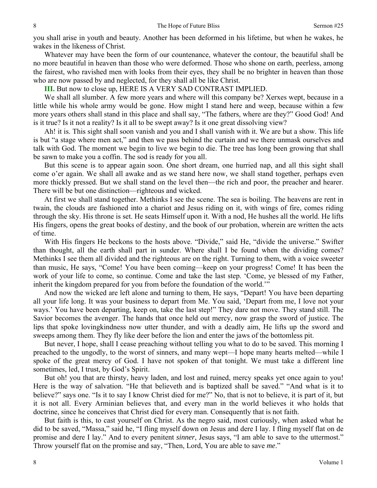you shall arise in youth and beauty. Another has been deformed in his lifetime, but when he wakes, he wakes in the likeness of Christ.

Whatever may have been the form of our countenance, whatever the contour, the beautiful shall be no more beautiful in heaven than those who were deformed. Those who shone on earth, peerless, among the fairest, who ravished men with looks from their eyes, they shall be no brighter in heaven than those who are now passed by and neglected, for they shall all be like Christ.

**III.** But now to close up, HERE IS A VERY SAD CONTRAST IMPLIED.

We shall all slumber. A few more years and where will this company be? Xerxes wept, because in a little while his whole army would be gone. How might I stand here and weep, because within a few more years others shall stand in this place and shall say, "The fathers, where are they?" Good God! And is it true? Is it not a reality? Is it all to be swept away? Is it one great dissolving view?

Ah! it is. This sight shall soon vanish and you and I shall vanish with it. We are but a show. This life is but "a stage where men act," and then we pass behind the curtain and we there unmask ourselves and talk with God. The moment we begin to live we begin to die. The tree has long been growing that shall be sawn to make you a coffin. The sod is ready for you all.

But this scene is to appear again soon. One short dream, one hurried nap, and all this sight shall come o'er again. We shall all awake and as we stand here now, we shall stand together, perhaps even more thickly pressed. But we shall stand on the level then—the rich and poor, the preacher and hearer. There will be but one distinction—righteous and wicked.

At first we shall stand together. Methinks I see the scene. The sea is boiling. The heavens are rent in twain, the clouds are fashioned into a chariot and Jesus riding on it, with wings of fire, comes riding through the sky. His throne is set. He seats Himself upon it. With a nod, He hushes all the world. He lifts His fingers, opens the great books of destiny, and the book of our probation, wherein are written the acts of time.

With His fingers He beckons to the hosts above. "Divide," said He, "divide the universe." Swifter than thought, all the earth shall part in sunder. Where shall I be found when the dividing comes? Methinks I see them all divided and the righteous are on the right. Turning to them, with a voice sweeter than music, He says, "Come! You have been coming—keep on your progress! Come! It has been the work of your life to come, so continue. Come and take the last step. 'Come, ye blessed of my Father, inherit the kingdom prepared for you from before the foundation of the world.'"

And now the wicked are left alone and turning to them, He says, "Depart! You have been departing all your life long. It was your business to depart from Me. You said, 'Depart from me, I love not your ways.' You have been departing, keep on, take the last step!" They dare not move. They stand still. The Savior becomes the avenger. The hands that once held out mercy, now grasp the sword of justice. The lips that spoke lovingkindness now utter thunder, and with a deadly aim, He lifts up the sword and sweeps among them. They fly like deer before the lion and enter the jaws of the bottomless pit.

But never, I hope, shall I cease preaching without telling you what to do to be saved. This morning I preached to the ungodly, to the worst of sinners, and many wept—I hope many hearts melted—while I spoke of the great mercy of God. I have not spoken of that tonight. We must take a different line sometimes, led, I trust, by God's Spirit.

But oh! you that are thirsty, heavy laden, and lost and ruined, mercy speaks yet once again to you! Here is the way of salvation. "He that believeth and is baptized shall be saved." "And what is it to believe?" says one. "Is it to say I know Christ died for me?" No, that is not to believe, it is part of it, but it is not all. Every Arminian believes that, and every man in the world believes it who holds that doctrine, since he conceives that Christ died for every man. Consequently that is not faith.

But faith is this, to cast yourself on Christ. As the negro said, most curiously, when asked what he did to be saved, "Massa," said he, "I fling myself down on Jesus and dere I lay. I fling myself flat on de promise and dere I lay." And to every penitent *sinner*, Jesus says, "I am able to save to the uttermost." Throw yourself flat on the promise and say, "Then, Lord, You are able to save *me*."

8